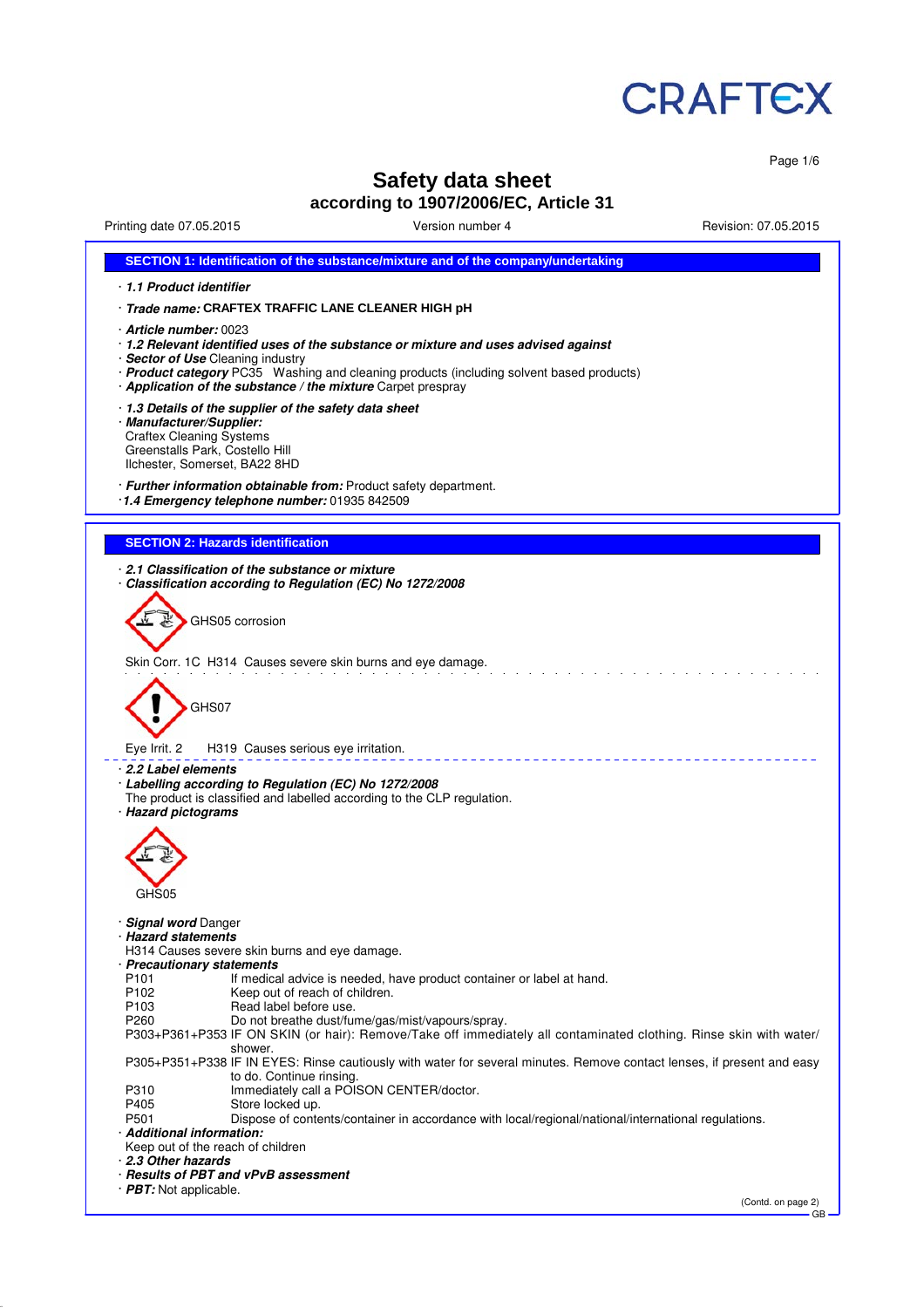

Page 1/6

# **Safety data sheet**

**according to 1907/2006/EC, Article 31**

Printing date 07.05.2015 Version number 4 Revision: 07.05.2015

| SECTION 1: Identification of the substance/mixture and of the company/undertaking                                                                                                                                                                     |
|-------------------------------------------------------------------------------------------------------------------------------------------------------------------------------------------------------------------------------------------------------|
| 1.1 Product identifier                                                                                                                                                                                                                                |
| Trade name: CRAFTEX TRAFFIC LANE CLEANER HIGH pH                                                                                                                                                                                                      |
| · <b>Article number:</b> 0023<br>· 1.2 Relevant identified uses of the substance or mixture and uses advised against<br>· Sector of Use Cleaning industry<br>· Product category PC35 Washing and cleaning products (including solvent based products) |
| Application of the substance / the mixture Carpet prespray                                                                                                                                                                                            |
| 1.3 Details of the supplier of the safety data sheet<br>· Manufacturer/Supplier:<br><b>Craftex Cleaning Systems</b><br>Greenstalls Park, Costello Hill<br>Ilchester, Somerset, BA22 8HD                                                               |
| · Further information obtainable from: Product safety department.<br>1.4 Emergency telephone number: 01935 842509                                                                                                                                     |
|                                                                                                                                                                                                                                                       |
| <b>SECTION 2: Hazards identification</b>                                                                                                                                                                                                              |
| 2.1 Classification of the substance or mixture<br>Classification according to Regulation (EC) No 1272/2008                                                                                                                                            |
| GHS05 corrosion                                                                                                                                                                                                                                       |
| Skin Corr. 1C H314 Causes severe skin burns and eye damage.                                                                                                                                                                                           |
| GHS07                                                                                                                                                                                                                                                 |
| Eye Irrit. 2<br>H319 Causes serious eye irritation.                                                                                                                                                                                                   |
| 2.2 Label elements<br>· Labelling according to Regulation (EC) No 1272/2008<br>The product is classified and labelled according to the CLP regulation.<br>· Hazard pictograms                                                                         |
| GHS05                                                                                                                                                                                                                                                 |
|                                                                                                                                                                                                                                                       |
| <b>Signal word Danger</b><br><b>Hazard statements</b><br>H314 Causes severe skin burns and eye damage.<br>· Precautionary statements                                                                                                                  |
| P101<br>If medical advice is needed, have product container or label at hand.<br>P102<br>Keep out of reach of children.                                                                                                                               |
| P <sub>103</sub><br>Read label before use.<br>P260<br>Do not breathe dust/fume/gas/mist/vapours/spray.<br>P303+P361+P353 IF ON SKIN (or hair): Remove/Take off immediately all contaminated clothing. Rinse skin with water/                          |
| shower.<br>P305+P351+P338 IF IN EYES: Rinse cautiously with water for several minutes. Remove contact lenses, if present and easy<br>to do. Continue rinsing.                                                                                         |
| Immediately call a POISON CENTER/doctor.<br>P310<br>P405<br>Store locked up.                                                                                                                                                                          |
| P501<br>Dispose of contents/container in accordance with local/regional/national/international regulations.                                                                                                                                           |
| · Additional information:<br>Keep out of the reach of children<br>2.3 Other hazards                                                                                                                                                                   |
| · Results of PBT and vPvB assessment<br>$\cdot$ PBT: Not applicable.                                                                                                                                                                                  |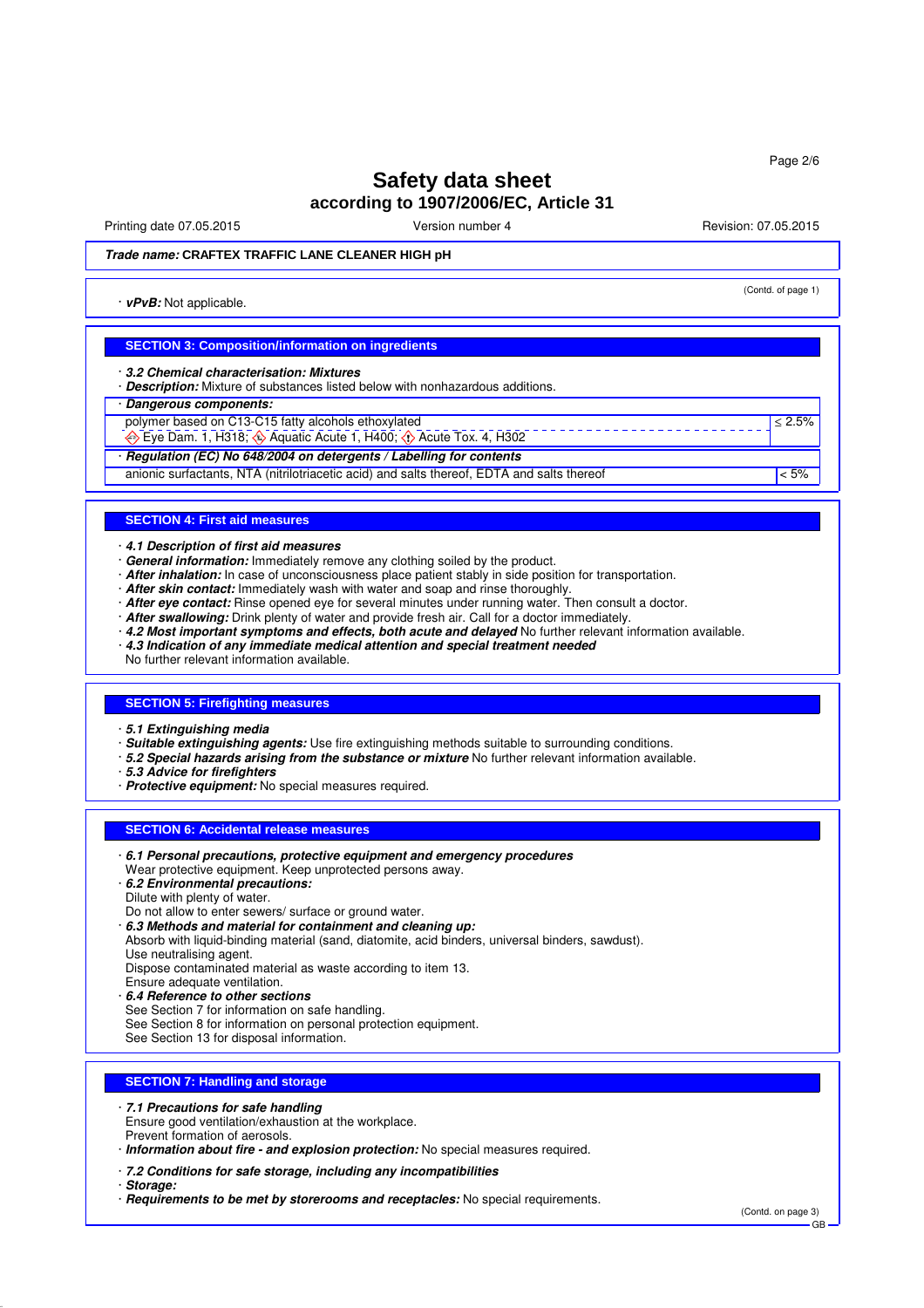# **Safety data sheet according to 1907/2006/EC, Article 31**

Printing date 07.05.2015 **Version number 4** Account 2008 2015 **Revision: 07.05.2015** 

(Contd. of page 1)

≤ 2.5%

### **Trade name: CRAFTEX TRAFFIC LANE CLEANER HIGH pH**

· **vPvB:** Not applicable.

#### **SECTION 3: Composition/information on ingredients**

· **3.2 Chemical characterisation: Mixtures**

· **Description:** Mixture of substances listed below with nonhazardous additions.

#### · **Dangerous components:**

- polymer based on C13-C15 fatty alcohols ethoxylated
- $\leftrightarrow$  Eye Dam. 1, H318;  $\leftrightarrow$  Aquatic Acute 1, H400;  $\leftrightarrow$  Acute Tox. 4, H302

· **Regulation (EC) No 648/2004 on detergents / Labelling for contents**

anionic surfactants, NTA (nitrilotriacetic acid) and salts thereof, EDTA and salts thereof  $\leq 5\%$ 

#### **SECTION 4: First aid measures**

- · **4.1 Description of first aid measures**
- · **General information:** Immediately remove any clothing soiled by the product.
- · **After inhalation:** In case of unconsciousness place patient stably in side position for transportation.
- · **After skin contact:** Immediately wash with water and soap and rinse thoroughly.
- · **After eye contact:** Rinse opened eye for several minutes under running water. Then consult a doctor.
- · **After swallowing:** Drink plenty of water and provide fresh air. Call for a doctor immediately.
- · **4.2 Most important symptoms and effects, both acute and delayed** No further relevant information available.
- · **4.3 Indication of any immediate medical attention and special treatment needed**
- No further relevant information available.

#### **SECTION 5: Firefighting measures**

- · **5.1 Extinguishing media**
- · **Suitable extinguishing agents:** Use fire extinguishing methods suitable to surrounding conditions.
- · **5.2 Special hazards arising from the substance or mixture** No further relevant information available.
- · **5.3 Advice for firefighters**
- · **Protective equipment:** No special measures required.

#### **SECTION 6: Accidental release measures**

- · **6.1 Personal precautions, protective equipment and emergency procedures**
- Wear protective equipment. Keep unprotected persons away.
- · **6.2 Environmental precautions:**
- Dilute with plenty of water.
- Do not allow to enter sewers/ surface or ground water.
- · **6.3 Methods and material for containment and cleaning up:**
- Absorb with liquid-binding material (sand, diatomite, acid binders, universal binders, sawdust). Use neutralising agent.

Dispose contaminated material as waste according to item 13.

- Ensure adequate ventilation.
- · **6.4 Reference to other sections**
- See Section 7 for information on safe handling.
- See Section 8 for information on personal protection equipment.
- See Section 13 for disposal information.

# **SECTION 7: Handling and storage**

#### · **7.1 Precautions for safe handling**

Ensure good ventilation/exhaustion at the workplace. Prevent formation of aerosols.

· **Information about fire - and explosion protection:** No special measures required.

#### · **7.2 Conditions for safe storage, including any incompatibilities**

· **Storage:**

· **Requirements to be met by storerooms and receptacles:** No special requirements.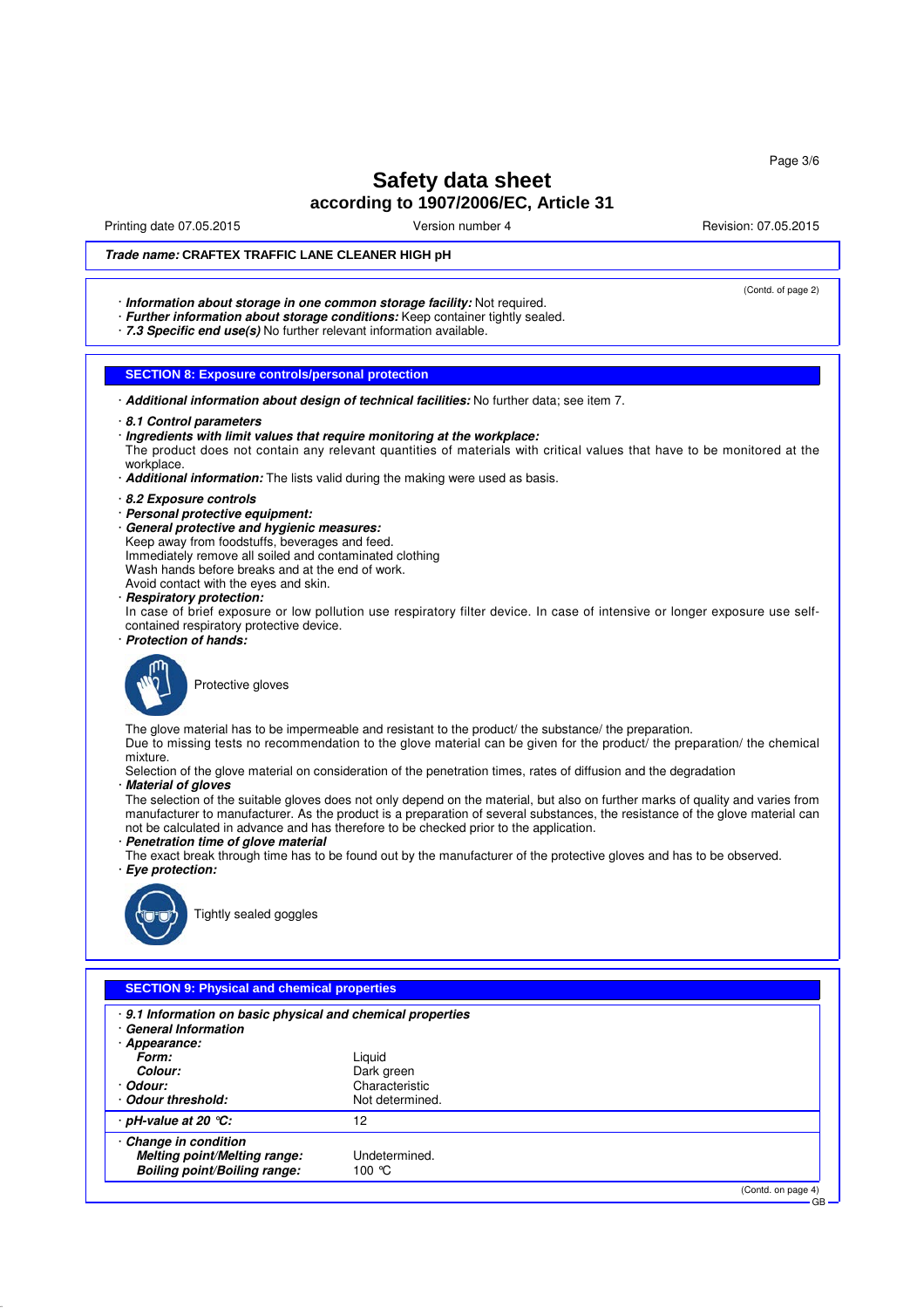Page 3/6

# **Safety data sheet according to 1907/2006/EC, Article 31**

Printing date 07.05.2015 **Version number 4** Account 2008 2015 **Revision: 07.05.2015** 

(Contd. of page 2)

## **Trade name: CRAFTEX TRAFFIC LANE CLEANER HIGH pH**

· **Information about storage in one common storage facility:** Not required.

· **Further information about storage conditions:** Keep container tightly sealed.

· **7.3 Specific end use(s)** No further relevant information available.

## **SECTION 8: Exposure controls/personal protection**

- · **Additional information about design of technical facilities:** No further data; see item 7.
- · **8.1 Control parameters**
- · **Ingredients with limit values that require monitoring at the workplace:**
- The product does not contain any relevant quantities of materials with critical values that have to be monitored at the workplace

#### · **Additional information:** The lists valid during the making were used as basis.

- · **8.2 Exposure controls**
- · **Personal protective equipment:**
- · **General protective and hygienic measures:**
- Keep away from foodstuffs, beverages and feed. Immediately remove all soiled and contaminated clothing
- Wash hands before breaks and at the end of work.
- Avoid contact with the eyes and skin.
- · **Respiratory protection:**

In case of brief exposure or low pollution use respiratory filter device. In case of intensive or longer exposure use selfcontained respiratory protective device.

· **Protection of hands:**



Protective gloves

The glove material has to be impermeable and resistant to the product/ the substance/ the preparation. Due to missing tests no recommendation to the glove material can be given for the product/ the preparation/ the chemical

#### mixture.

- Selection of the glove material on consideration of the penetration times, rates of diffusion and the degradation · **Material of gloves**
- 

The selection of the suitable gloves does not only depend on the material, but also on further marks of quality and varies from manufacturer to manufacturer. As the product is a preparation of several substances, the resistance of the glove material can not be calculated in advance and has therefore to be checked prior to the application.

#### · **Penetration time of glove material**

The exact break through time has to be found out by the manufacturer of the protective gloves and has to be observed. · **Eye protection:**



Tightly sealed goggles

| . 9.1 Information on basic physical and chemical properties<br><b>General Information</b><br>Appearance: |                 |                    |
|----------------------------------------------------------------------------------------------------------|-----------------|--------------------|
| Form:                                                                                                    | Liguid          |                    |
| Colour:                                                                                                  | Dark green      |                    |
| · Odour:                                                                                                 | Characteristic  |                    |
| Odour threshold:                                                                                         | Not determined. |                    |
| $\cdot$ pH-value at 20 $\degree$ C:                                                                      | 12              |                    |
| Change in condition<br>Melting point/Melting range:                                                      | Undetermined.   |                    |
| Boiling point/Boiling range:                                                                             | 100 $\degree$ C |                    |
|                                                                                                          |                 | (Contd. on page 4) |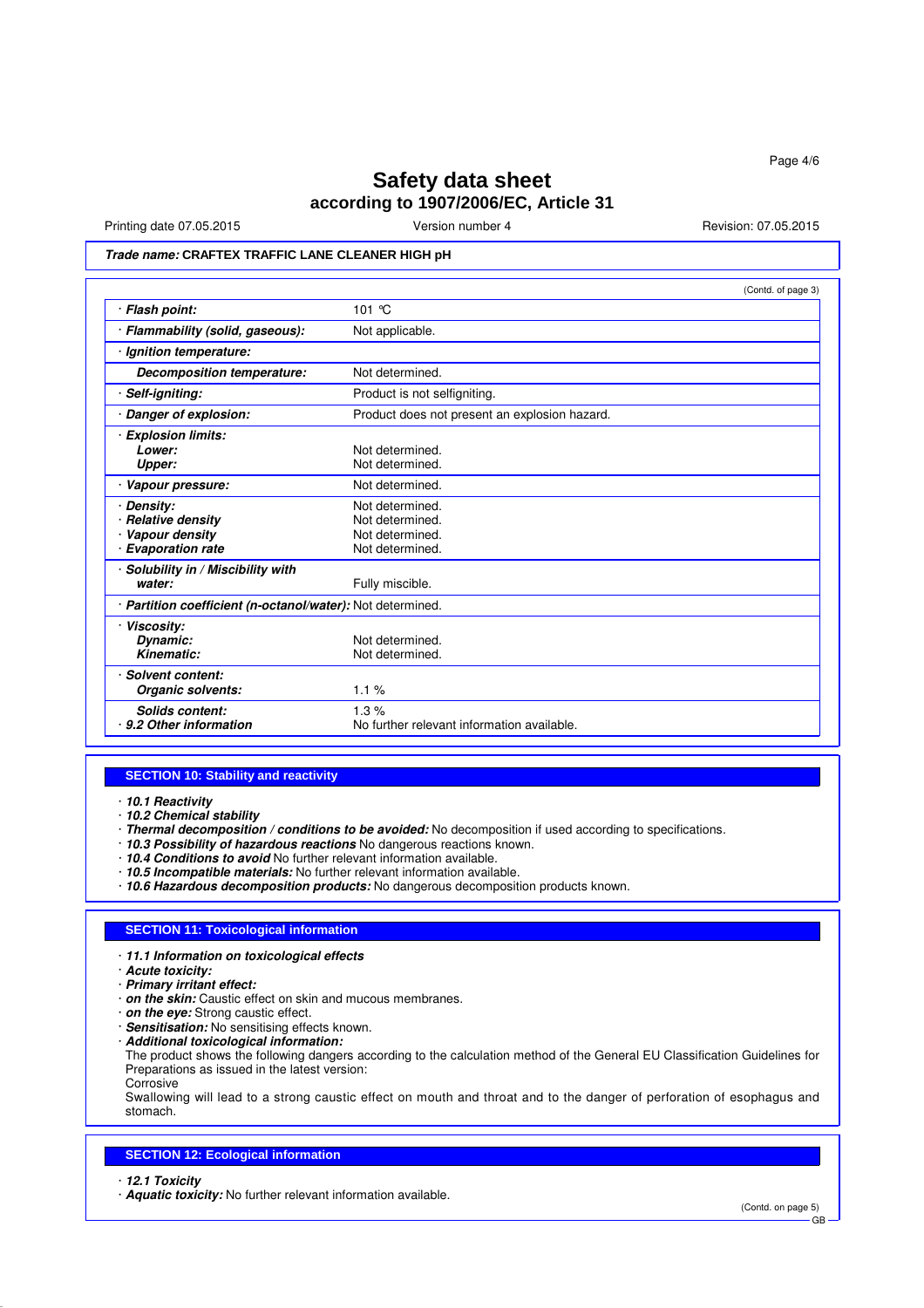# **Safety data sheet according to 1907/2006/EC, Article 31**

Printing date 07.05.2015 Version number 4 Revision: 07.05.2015

# **Trade name: CRAFTEX TRAFFIC LANE CLEANER HIGH pH**

|                                                                               | (Contd. of page 3)                                                       |
|-------------------------------------------------------------------------------|--------------------------------------------------------------------------|
| · Flash point:                                                                | 101 $\degree$ C                                                          |
| · Flammability (solid, gaseous):                                              | Not applicable.                                                          |
| · Ignition temperature:                                                       |                                                                          |
| Decomposition temperature:                                                    | Not determined.                                                          |
| · Self-igniting:                                                              | Product is not selfigniting.                                             |
| · Danger of explosion:                                                        | Product does not present an explosion hazard.                            |
| · Explosion limits:<br>Lower:<br>Upper:                                       | Not determined.<br>Not determined.                                       |
| · Vapour pressure:                                                            | Not determined.                                                          |
| <b>Density:</b><br>· Relative density<br>Vapour density<br>· Evaporation rate | Not determined.<br>Not determined.<br>Not determined.<br>Not determined. |
| · Solubility in / Miscibility with<br>water:                                  | Fully miscible.                                                          |
| · Partition coefficient (n-octanol/water): Not determined.                    |                                                                          |
| · Viscosity:<br>Dynamic:<br>Kinematic:                                        | Not determined.<br>Not determined.                                       |
| · Solvent content:<br>Organic solvents:                                       | 1.1%                                                                     |
| <b>Solids content:</b><br>9.2 Other information                               | 1.3%<br>No further relevant information available.                       |

#### **SECTION 10: Stability and reactivity**

- · **10.1 Reactivity**
- · **10.2 Chemical stability**
- · **Thermal decomposition / conditions to be avoided:** No decomposition if used according to specifications.
- · **10.3 Possibility of hazardous reactions** No dangerous reactions known.
- · **10.4 Conditions to avoid** No further relevant information available.
- · **10.5 Incompatible materials:** No further relevant information available.
- · **10.6 Hazardous decomposition products:** No dangerous decomposition products known.

#### **SECTION 11: Toxicological information**

- · **11.1 Information on toxicological effects**
- · **Acute toxicity:**
- · **Primary irritant effect:**
- · **on the skin:** Caustic effect on skin and mucous membranes.
- · **on the eye:** Strong caustic effect.
- · **Sensitisation:** No sensitising effects known.
- · **Additional toxicological information:**

The product shows the following dangers according to the calculation method of the General EU Classification Guidelines for Preparations as issued in the latest version: Corrosive

Swallowing will lead to a strong caustic effect on mouth and throat and to the danger of perforation of esophagus and stomach.

#### **SECTION 12: Ecological information**

- · **12.1 Toxicity**
- · **Aquatic toxicity:** No further relevant information available.

(Contd. on page 5)

GB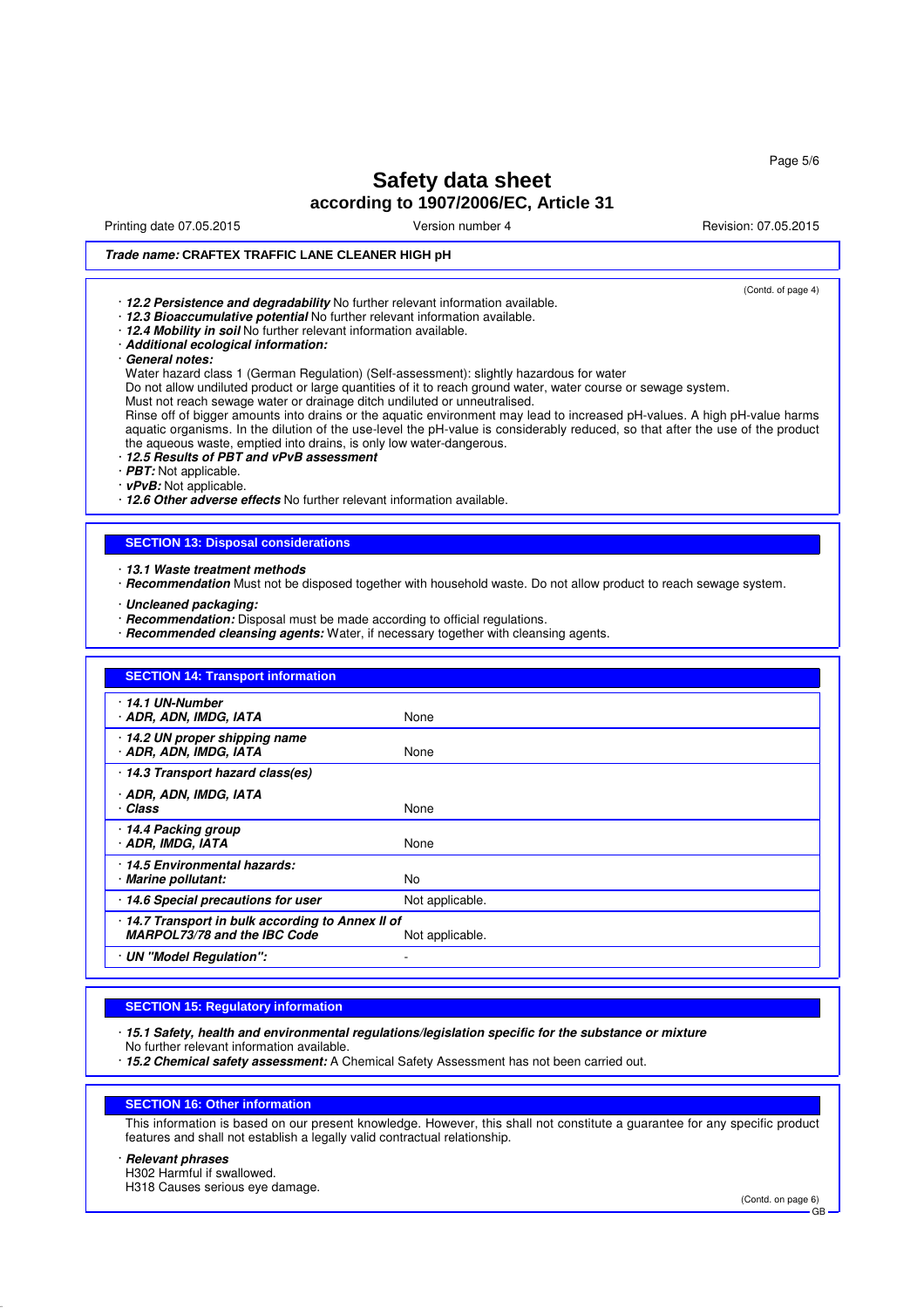Page 5/6

# **Safety data sheet according to 1907/2006/EC, Article 31**

Printing date 07.05.2015 **Version number 4** Account 2008 2015 **Revision: 07.05.2015** 

(Contd. of page 4)

## **Trade name: CRAFTEX TRAFFIC LANE CLEANER HIGH pH**

· **12.2 Persistence and degradability** No further relevant information available.

- · **12.3 Bioaccumulative potential** No further relevant information available.
- · **12.4 Mobility in soil** No further relevant information available.
- · **Additional ecological information:**
- · **General notes:**

Water hazard class 1 (German Regulation) (Self-assessment): slightly hazardous for water

Do not allow undiluted product or large quantities of it to reach ground water, water course or sewage system.

Must not reach sewage water or drainage ditch undiluted or unneutralised.

Rinse off of bigger amounts into drains or the aquatic environment may lead to increased pH-values. A high pH-value harms aquatic organisms. In the dilution of the use-level the pH-value is considerably reduced, so that after the use of the product the aqueous waste, emptied into drains, is only low water-dangerous.

· **12.5 Results of PBT and vPvB assessment**

· **PBT:** Not applicable.

· **vPvB:** Not applicable.

· **12.6 Other adverse effects** No further relevant information available.

#### **SECTION 13: Disposal considerations**

- · **13.1 Waste treatment methods**
- · **Recommendation** Must not be disposed together with household waste. Do not allow product to reach sewage system.
- · **Uncleaned packaging:**
- · **Recommendation:** Disposal must be made according to official regulations.
- · **Recommended cleansing agents:** Water, if necessary together with cleansing agents.

| <b>SECTION 14: Transport information</b>                                          |                          |  |
|-----------------------------------------------------------------------------------|--------------------------|--|
| 14.1 UN-Number<br>· ADR, ADN, IMDG, IATA                                          | None                     |  |
| · 14.2 UN proper shipping name<br>· ADR, ADN, IMDG, IATA                          | None                     |  |
| 14.3 Transport hazard class(es)                                                   |                          |  |
| · ADR, ADN, IMDG, IATA<br>· Class                                                 | None                     |  |
| 14.4 Packing group<br>· ADR, IMDG, IATA                                           | None                     |  |
| 14.5 Environmental hazards:<br>· Marine pollutant:                                | <b>No</b>                |  |
| 14.6 Special precautions for user                                                 | Not applicable.          |  |
| · 14.7 Transport in bulk according to Annex II of<br>MARPOL73/78 and the IBC Code | Not applicable.          |  |
| · UN "Model Regulation":                                                          | $\overline{\phantom{a}}$ |  |

#### **SECTION 15: Regulatory information**

- · **15.1 Safety, health and environmental regulations/legislation specific for the substance or mixture** No further relevant information available.
- · **15.2 Chemical safety assessment:** A Chemical Safety Assessment has not been carried out.

#### **SECTION 16: Other information**

This information is based on our present knowledge. However, this shall not constitute a guarantee for any specific product features and shall not establish a legally valid contractual relationship.

#### · **Relevant phrases**

H302 Harmful if swallowed.

H318 Causes serious eye damage.

(Contd. on page 6)

GB